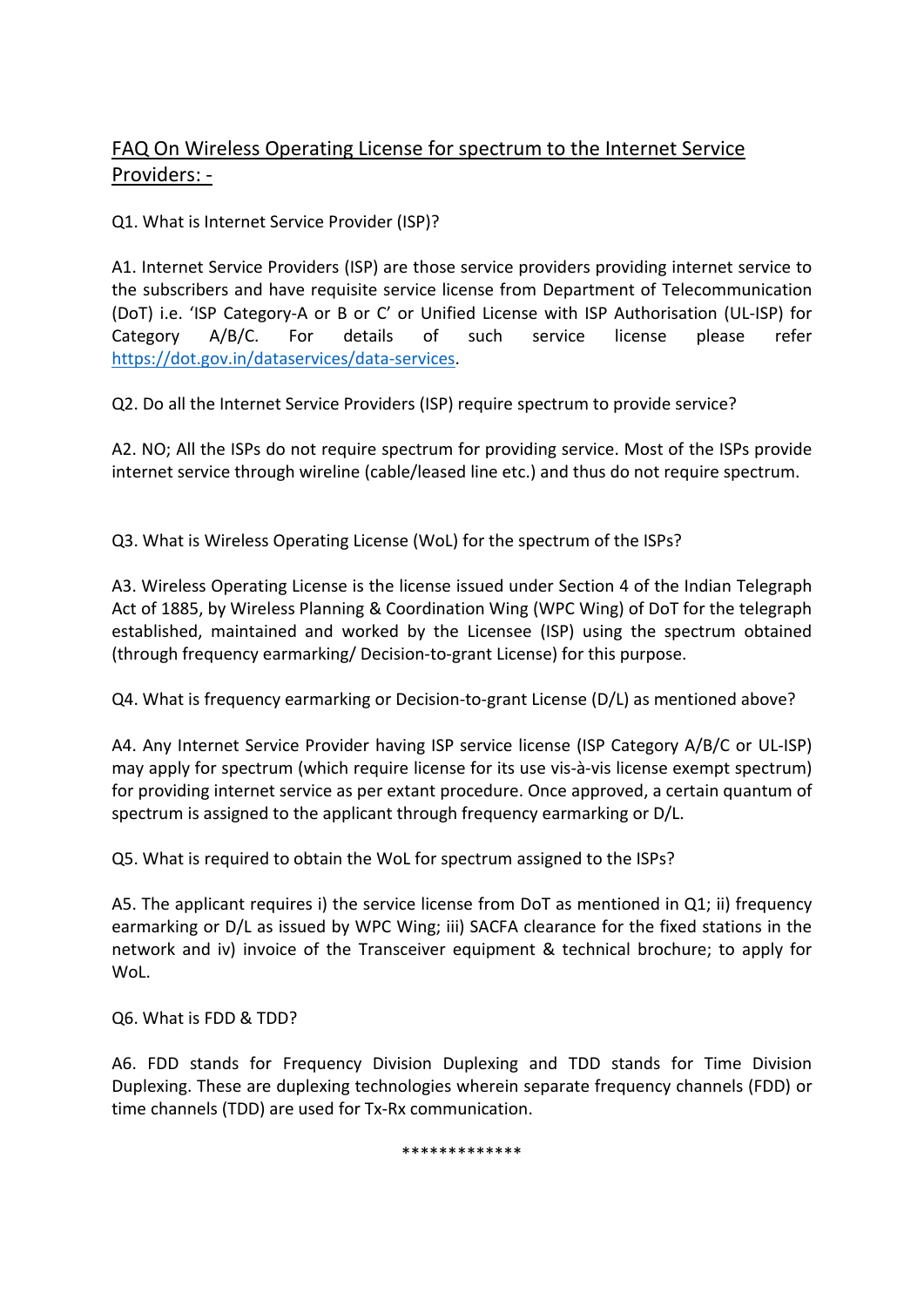## FAQ On Wireless Operating License for spectrum to the Internet Service Providers: -

Q1. What is Internet Service Provider (ISP)?

A1. Internet Service Providers (ISP) are those service providers providing internet service to the subscribers and have requisite service license from Department of Telecommunication (DoT) i.e. 'ISP Category-A or B or C' or Unified License with ISP Authorisation (UL-ISP) for Category A/B/C. For details of such service license please refer https://dot.gov.in/dataservices/data-services.

Q2. Do all the Internet Service Providers (ISP) require spectrum to provide service?

A2. NO; All the ISPs do not require spectrum for providing service. Most of the ISPs provide internet service through wireline (cable/leased line etc.) and thus do not require spectrum.

Q3. What is Wireless Operating License (WoL) for the spectrum of the ISPs?

A3. Wireless Operating License is the license issued under Section 4 of the Indian Telegraph Act of 1885, by Wireless Planning & Coordination Wing (WPC Wing) of DoT for the telegraph established, maintained and worked by the Licensee (ISP) using the spectrum obtained (through frequency earmarking/ Decision-to-grant License) for this purpose.

Q4. What is frequency earmarking or Decision-to-grant License (D/L) as mentioned above?

A4. Any Internet Service Provider having ISP service license (ISP Category A/B/C or UL-ISP) may apply for spectrum (which require license for its use vis-à-vis license exempt spectrum) for providing internet service as per extant procedure. Once approved, a certain quantum of spectrum is assigned to the applicant through frequency earmarking or D/L.

Q5. What is required to obtain the WoL for spectrum assigned to the ISPs?

A5. The applicant requires i) the service license from DoT as mentioned in Q1; ii) frequency earmarking or D/L as issued by WPC Wing; iii) SACFA clearance for the fixed stations in the network and iv) invoice of the Transceiver equipment & technical brochure; to apply for WoL.

Q6. What is FDD & TDD?

A6. FDD stands for Frequency Division Duplexing and TDD stands for Time Division Duplexing. These are duplexing technologies wherein separate frequency channels (FDD) or time channels (TDD) are used for Tx-Rx communication.

\*\*\*\*\*\*\*\*\*\*\*\*\*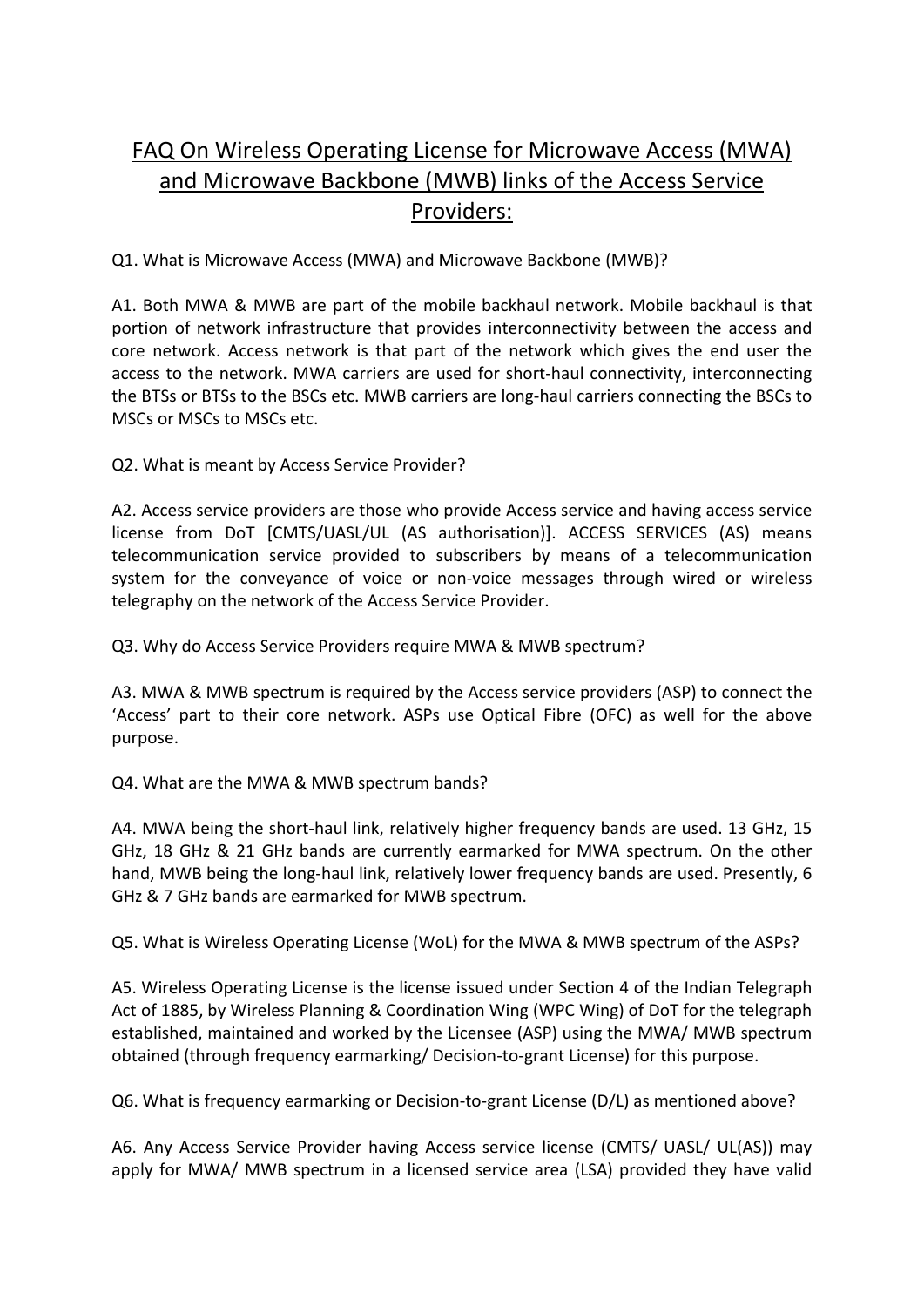## FAQ On Wireless Operating License for Microwave Access (MWA) and Microwave Backbone (MWB) links of the Access Service Providers:

Q1. What is Microwave Access (MWA) and Microwave Backbone (MWB)?

A1. Both MWA & MWB are part of the mobile backhaul network. Mobile backhaul is that portion of network infrastructure that provides interconnectivity between the access and core network. Access network is that part of the network which gives the end user the access to the network. MWA carriers are used for short-haul connectivity, interconnecting the BTSs or BTSs to the BSCs etc. MWB carriers are long-haul carriers connecting the BSCs to MSCs or MSCs to MSCs etc.

Q2. What is meant by Access Service Provider?

A2. Access service providers are those who provide Access service and having access service license from DoT [CMTS/UASL/UL (AS authorisation)]. ACCESS SERVICES (AS) means telecommunication service provided to subscribers by means of a telecommunication system for the conveyance of voice or non-voice messages through wired or wireless telegraphy on the network of the Access Service Provider.

Q3. Why do Access Service Providers require MWA & MWB spectrum?

A3. MWA & MWB spectrum is required by the Access service providers (ASP) to connect the 'Access' part to their core network. ASPs use Optical Fibre (OFC) as well for the above purpose.

Q4. What are the MWA & MWB spectrum bands?

A4. MWA being the short-haul link, relatively higher frequency bands are used. 13 GHz, 15 GHz, 18 GHz & 21 GHz bands are currently earmarked for MWA spectrum. On the other hand, MWB being the long-haul link, relatively lower frequency bands are used. Presently, 6 GHz & 7 GHz bands are earmarked for MWB spectrum.

Q5. What is Wireless Operating License (WoL) for the MWA & MWB spectrum of the ASPs?

A5. Wireless Operating License is the license issued under Section 4 of the Indian Telegraph Act of 1885, by Wireless Planning & Coordination Wing (WPC Wing) of DoT for the telegraph established, maintained and worked by the Licensee (ASP) using the MWA/ MWB spectrum obtained (through frequency earmarking/ Decision-to-grant License) for this purpose.

Q6. What is frequency earmarking or Decision-to-grant License (D/L) as mentioned above?

A6. Any Access Service Provider having Access service license (CMTS/ UASL/ UL(AS)) may apply for MWA/ MWB spectrum in a licensed service area (LSA) provided they have valid